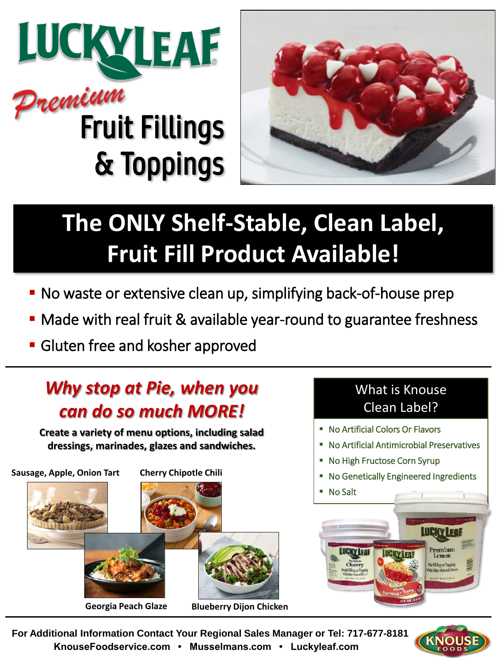



## **The ONLY Shelf-Stable, Clean Label, Fruit Fill Product Available!**

- No waste or extensive clean up, simplifying back-of-house prep
- Made with real fruit & available year-round to guarantee freshness
- **Gluten free and kosher approved**

## *Why stop at Pie, when you can do so much MORE!*

**Create a variety of menu options, including salad dressings, marinades, glazes and sandwiches.**



## What is Knouse Clean Label?

- No Artificial Colors Or Flavors
- No Artificial Antimicrobial Preservatives
- No High Fructose Corn Syrup
- No Genetically Engineered Ingredients





**For Additional Information Contact Your Regional Sales Manager or Tel: 717-677-8181 KnouseFoodservice.com • Musselmans.com • Luckyleaf.com**